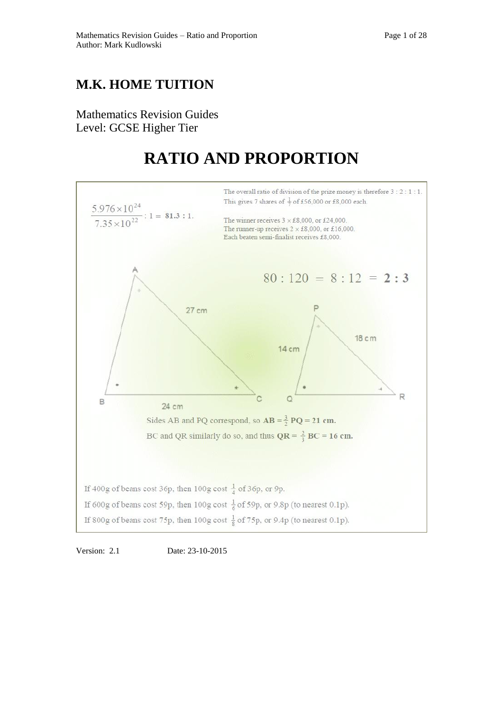## **M.K. HOME TUITION**

Mathematics Revision Guides Level: GCSE Higher Tier

# **RATIO AND PROPORTION**



Version: 2.1 Date: 23-10-2015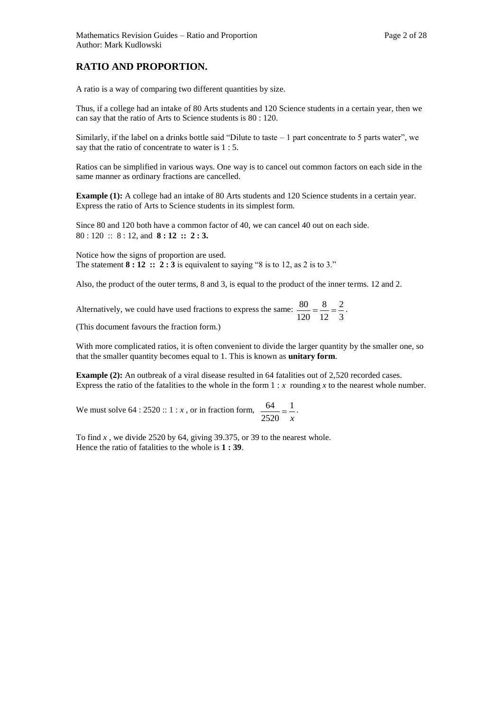A ratio is a way of comparing two different quantities by size.

Thus, if a college had an intake of 80 Arts students and 120 Science students in a certain year, then we can say that the ratio of Arts to Science students is 80 : 120.

Similarly, if the label on a drinks bottle said "Dilute to taste  $-1$  part concentrate to 5 parts water", we say that the ratio of concentrate to water is 1 : 5.

Ratios can be simplified in various ways. One way is to cancel out common factors on each side in the same manner as ordinary fractions are cancelled.

**Example (1):** A college had an intake of 80 Arts students and 120 Science students in a certain year. Express the ratio of Arts to Science students in its simplest form.

Since 80 and 120 both have a common factor of 40, we can cancel 40 out on each side. 80 : 120 :: 8 : 12, and **8 : 12 :: 2 : 3.** 

Notice how the signs of proportion are used. The statement  $8:12::2:3$  is equivalent to saying "8 is to 12, as 2 is to 3."

Also, the product of the outer terms, 8 and 3, is equal to the product of the inner terms. 12 and 2.

Alternatively, we could have used fractions to express the same: 3 2 12 8 120  $\frac{80}{100} = \frac{8}{10} = \frac{2}{10}$ .

(This document favours the fraction form.)

With more complicated ratios, it is often convenient to divide the larger quantity by the smaller one, so that the smaller quantity becomes equal to 1. This is known as **unitary form**.

**Example (2):** An outbreak of a viral disease resulted in 64 fatalities out of 2,520 recorded cases. Express the ratio of the fatalities to the whole in the form  $1 : x$  rounding x to the nearest whole number.

We must solve  $64:2520::1:x$ , or in fraction form, *x* 1 2520  $\frac{64}{122} = \frac{1}{2}$ .

To find *x* , we divide 2520 by 64, giving 39.375, or 39 to the nearest whole. Hence the ratio of fatalities to the whole is **1 : 39**.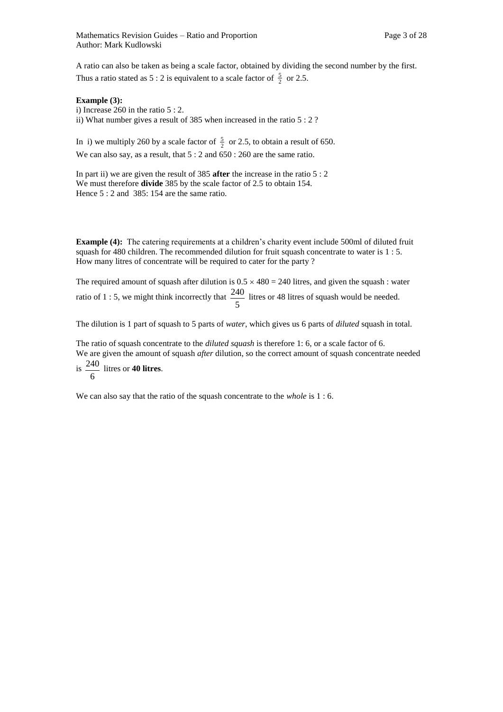A ratio can also be taken as being a scale factor, obtained by dividing the second number by the first. Thus a ratio stated as 5 : 2 is equivalent to a scale factor of  $\frac{5}{2}$  or 2.5.

### **Example (3):**

i) Increase 260 in the ratio 5 : 2. ii) What number gives a result of 385 when increased in the ratio 5 : 2 ?

In i) we multiply 260 by a scale factor of  $\frac{5}{2}$  or 2.5, to obtain a result of 650. We can also say, as a result, that  $5:2$  and  $650:260$  are the same ratio.

In part ii) we are given the result of 385 **after** the increase in the ratio 5 : 2 We must therefore **divide** 385 by the scale factor of 2.5 to obtain 154. Hence 5 : 2 and 385: 154 are the same ratio.

**Example (4):** The catering requirements at a children's charity event include 500ml of diluted fruit squash for 480 children. The recommended dilution for fruit squash concentrate to water is 1 : 5. How many litres of concentrate will be required to cater for the party ?

The required amount of squash after dilution is  $0.5 \times 480 = 240$  litres, and given the squash : water ratio of 1 : 5, we might think incorrectly that 5  $\frac{240}{240}$  litres or 48 litres of squash would be needed.

The dilution is 1 part of squash to 5 parts of *water*, which gives us 6 parts of *diluted* squash in total.

The ratio of squash concentrate to the *diluted squash* is therefore 1: 6, or a scale factor of 6. We are given the amount of squash *after* dilution, so the correct amount of squash concentrate needed is 6 240 litres or **40 litres**.

We can also say that the ratio of the squash concentrate to the *whole* is 1 : 6.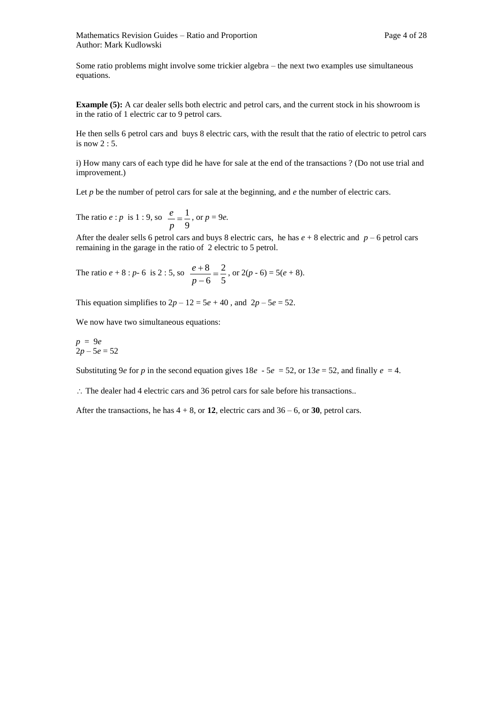Some ratio problems might involve some trickier algebra – the next two examples use simultaneous equations.

**Example (5):** A car dealer sells both electric and petrol cars, and the current stock in his showroom is in the ratio of 1 electric car to 9 petrol cars.

He then sells 6 petrol cars and buys 8 electric cars, with the result that the ratio of electric to petrol cars is now 2 : 5.

i) How many cars of each type did he have for sale at the end of the transactions ? (Do not use trial and improvement.)

Let *p* be the number of petrol cars for sale at the beginning, and *e* the number of electric cars.

The ratio  $e : p$  is  $1 : 9$ , so 9  $=\frac{1}{2}$ *p*  $\frac{e}{-} = \frac{1}{-}$ , or  $p = 9e$ .

After the dealer sells 6 petrol cars and buys 8 electric cars, he has  $e + 8$  electric and  $p - 6$  petrol cars remaining in the garage in the ratio of 2 electric to 5 petrol.

The ratio 
$$
e + 8 : p - 6
$$
 is 2 : 5, so  $\frac{e + 8}{p - 6} = \frac{2}{5}$ , or  $2(p - 6) = 5(e + 8)$ .

This equation simplifies to  $2p - 12 = 5e + 40$ , and  $2p - 5e = 52$ .

We now have two simultaneous equations:

$$
p = 9e
$$
  
2p - 5e = 52

Substituting 9*e* for *p* in the second equation gives  $18e - 5e = 52$ , or  $13e = 52$ , and finally  $e = 4$ .

 $\therefore$  The dealer had 4 electric cars and 36 petrol cars for sale before his transactions..

After the transactions, he has  $4 + 8$ , or **12**, electric cars and  $36 - 6$ , or **30**, petrol cars.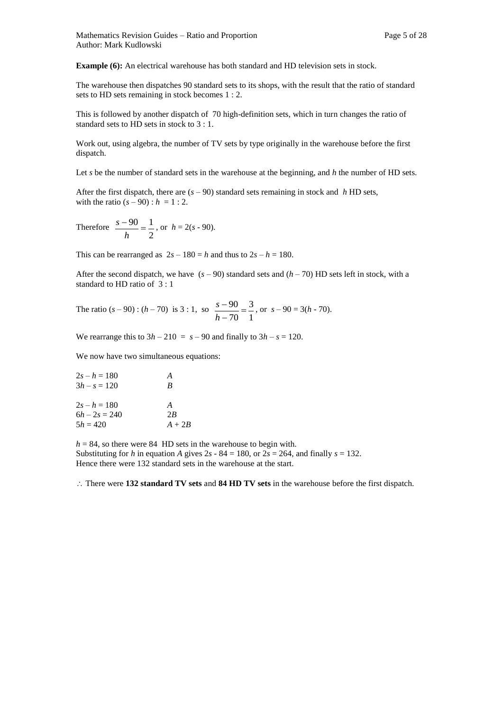**Example (6):** An electrical warehouse has both standard and HD television sets in stock.

The warehouse then dispatches 90 standard sets to its shops, with the result that the ratio of standard sets to HD sets remaining in stock becomes 1 : 2.

This is followed by another dispatch of 70 high-definition sets, which in turn changes the ratio of standard sets to HD sets in stock to 3 : 1.

Work out, using algebra, the number of TV sets by type originally in the warehouse before the first dispatch.

Let *s* be the number of standard sets in the warehouse at the beginning, and *h* the number of HD sets.

After the first dispatch, there are  $(s - 90)$  standard sets remaining in stock and *h* HD sets, with the ratio  $(s - 90)$ :  $h = 1:2$ .

Therefore 2  $\frac{-90}{1}$  =  $\frac{1}{1}$ *h*  $\frac{s-90}{s} = \frac{1}{s}$ , or  $h = 2(s - 90)$ .

This can be rearranged as  $2s - 180 = h$  and thus to  $2s - h = 180$ .

After the second dispatch, we have  $(s - 90)$  standard sets and  $(h - 70)$  HD sets left in stock, with a standard to HD ratio of 3 : 1

The ratio  $(s - 90)$ :  $(h - 70)$  is 3:1, so 1 3 70  $\frac{90}{70}$  $\overline{\phantom{a}}$  $\overline{\phantom{a}}$ *h*  $\frac{s-90}{s} = \frac{3}{s}$ , or  $s - 90 = 3(h - 70)$ .

We rearrange this to  $3h - 210 = s - 90$  and finally to  $3h - s = 120$ .

We now have two simultaneous equations:

| $2s - h = 180$  | А        |
|-----------------|----------|
| $3h - s = 120$  | B        |
| $2s - h = 180$  | A        |
| $6h - 2s = 240$ | 2B       |
| $5h = 420$      | $A + 2B$ |

 $h = 84$ , so there were 84 HD sets in the warehouse to begin with. Substituting for *h* in equation *A* gives  $2s - 84 = 180$ , or  $2s = 264$ , and finally  $s = 132$ . Hence there were 132 standard sets in the warehouse at the start.

There were **132 standard TV sets** and **84 HD TV sets** in the warehouse before the first dispatch.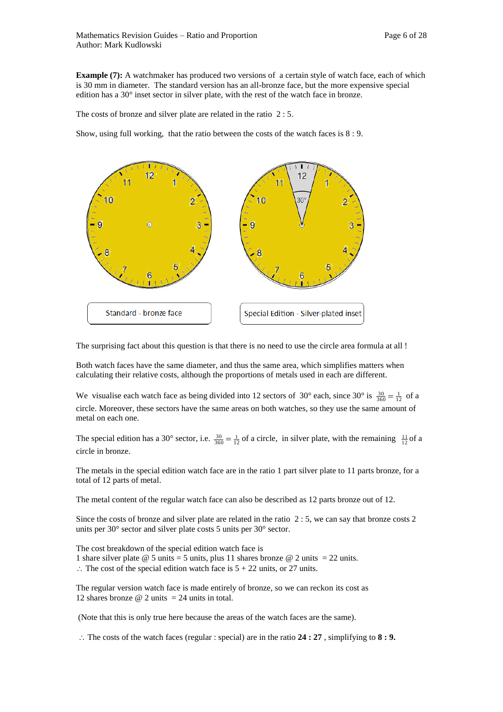**Example (7):** A watchmaker has produced two versions of a certain style of watch face, each of which is 30 mm in diameter. The standard version has an all-bronze face, but the more expensive special edition has a 30° inset sector in silver plate, with the rest of the watch face in bronze.

The costs of bronze and silver plate are related in the ratio 2 : 5.

Show, using full working, that the ratio between the costs of the watch faces is 8 : 9.



The surprising fact about this question is that there is no need to use the circle area formula at all !

Both watch faces have the same diameter, and thus the same area, which simplifies matters when calculating their relative costs, although the proportions of metals used in each are different.

We visualise each watch face as being divided into 12 sectors of 30° each, since 30° is  $\frac{30}{360} = \frac{1}{12}$  of a circle. Moreover, these sectors have the same areas on both watches, so they use the same amount of metal on each one.

The special edition has a 30° sector, i.e.  $\frac{30}{360} = \frac{1}{12}$  of a circle, in silver plate, with the remaining  $\frac{11}{12}$  of a circle in bronze.

The metals in the special edition watch face are in the ratio 1 part silver plate to 11 parts bronze, for a total of 12 parts of metal.

The metal content of the regular watch face can also be described as 12 parts bronze out of 12.

Since the costs of bronze and silver plate are related in the ratio 2 : 5, we can say that bronze costs 2 units per 30° sector and silver plate costs 5 units per 30° sector.

The cost breakdown of the special edition watch face is 1 share silver plate  $\omega$  5 units = 5 units, plus 11 shares bronze  $\omega$  2 units = 22 units.  $\therefore$  The cost of the special edition watch face is  $5 + 22$  units, or 27 units.

The regular version watch face is made entirely of bronze, so we can reckon its cost as 12 shares bronze  $\omega$  2 units = 24 units in total.

(Note that this is only true here because the areas of the watch faces are the same).

 $\therefore$  The costs of the watch faces (regular : special) are in the ratio 24 : 27, simplifying to 8 : 9.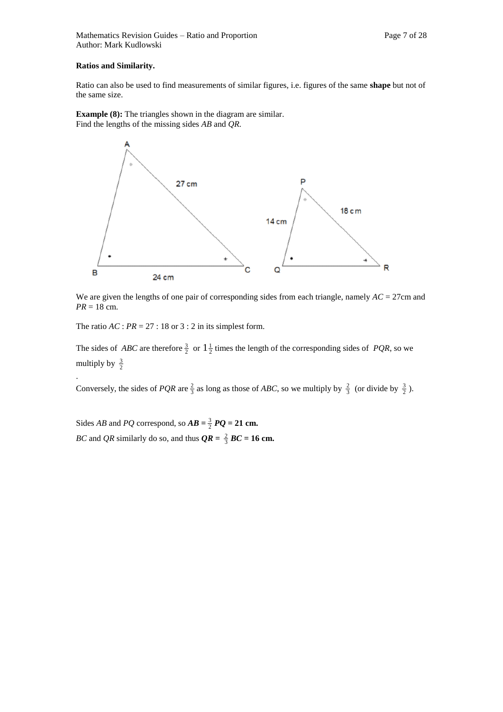### **Ratios and Similarity.**

.

Ratio can also be used to find measurements of similar figures, i.e. figures of the same **shape** but not of the same size.

**Example (8):** The triangles shown in the diagram are similar. Find the lengths of the missing sides *AB* and *QR.*



We are given the lengths of one pair of corresponding sides from each triangle, namely  $AC = 27$ cm and  $PR = 18$  cm.

The ratio  $AC : PR = 27 : 18$  or  $3 : 2$  in its simplest form.

The sides of *ABC* are therefore  $\frac{3}{2}$  or  $1\frac{1}{2}$  times the length of the corresponding sides of *PQR*, so we multiply by  $\frac{3}{2}$ 

Conversely, the sides of *PQR* are  $\frac{2}{3}$  as long as those of *ABC*, so we multiply by  $\frac{2}{3}$  (or divide by  $\frac{3}{2}$ ).

Sides *AB* and *PQ* correspond, so  $AB = \frac{3}{2} PQ = 21$  cm. *BC* and *QR* similarly do so, and thus  $QR = \frac{2}{3}$  *BC* = 16 cm.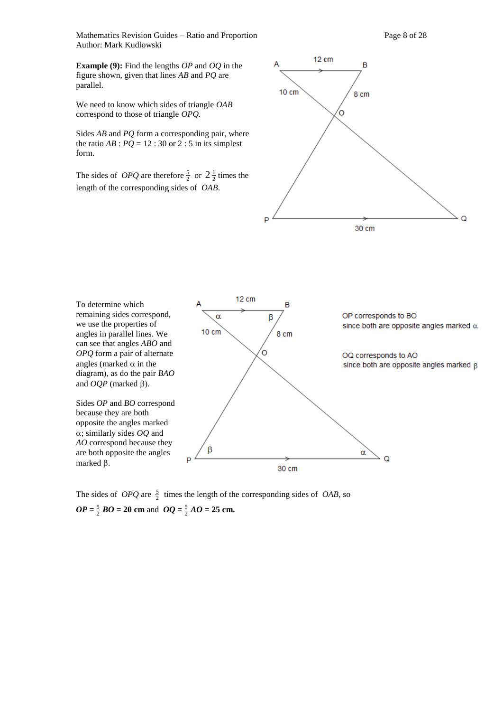Mathematics Revision Guides – Ratio and Proportion Page 8 of 28 Author: Mark Kudlowski

**Example (9):** Find the lengths *OP* and *OQ* in the figure shown, given that lines *AB* and *PQ* are parallel.

We need to know which sides of triangle *OAB*  correspond to those of triangle *OPQ.*

Sides *AB* and *PQ* form a corresponding pair, where the ratio  $AB$  :  $PQ = 12$  : 30 or 2 : 5 in its simplest form.

The sides of *OPQ* are therefore  $\frac{5}{2}$  or  $2\frac{1}{2}$  times the length of the corresponding sides of *OAB*.





The sides of *OPQ* are  $\frac{5}{2}$  times the length of the corresponding sides of *OAB*, so  $OP = \frac{5}{2}$  *BO* = 20 cm and  $OQ = \frac{5}{2}$  *AO* = 25 cm.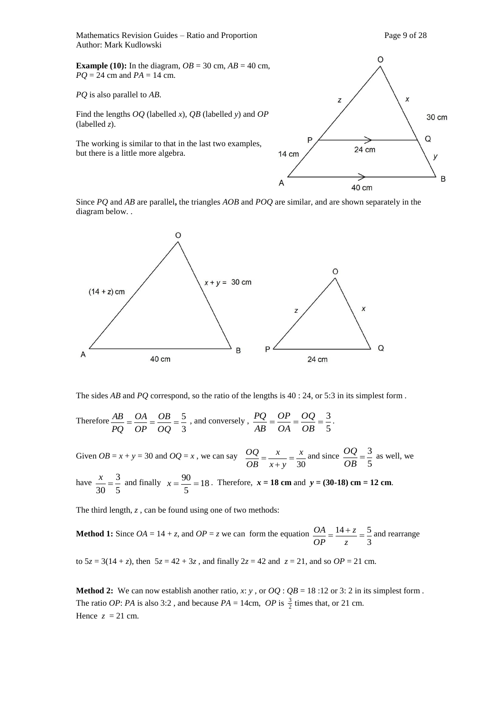Mathematics Revision Guides – Ratio and Proportion Page 9 of 28 Author: Mark Kudlowski

**Example (10):** In the diagram,  $OB = 30$  cm,  $AB = 40$  cm, *PQ* = 24 cm and *PA* = 14 cm.

*PQ* is also parallel to *AB*.

Find the lengths *OQ* (labelled *x*), *QB* (labelled *y*) and *OP* (labelled *z*).

The working is similar to that in the last two examples, but there is a little more algebra.



Since *PQ* and *AB* are parallel**,** the triangles *AOB* and *POQ* are similar, and are shown separately in the diagram below. .



The sides *AB* and *PQ* correspond, so the ratio of the lengths is 40 : 24, or 5:3 in its simplest form .

Therefore 
$$
\frac{AB}{PQ} = \frac{OA}{OP} = \frac{OB}{OQ} = \frac{5}{3}
$$
, and conversely,  $\frac{PQ}{AB} = \frac{OP}{OA} = \frac{OQ}{OB} = \frac{3}{5}$ .

Given  $OB = x + y = 30$  and  $OQ = x$ , we can say 30 *x x y x OB*  $\frac{\partial Q}{\partial z} = \frac{x}{x}$  $\ddot{}$  $=\frac{x}{\sqrt{2}} = \frac{x}{\sqrt{2}}$  and since 5  $=\frac{3}{7}$ *OB*  $\frac{OQ}{S} = \frac{3}{2}$  as well, we have 3  $\frac{x}{\sqrt{2}} = \frac{3}{7}$  and finally  $x = \frac{90}{7} = 18$  $x = \frac{90}{7} = 18$ . Therefore,  $x = 18$  cm and  $y = (30-18)$  cm = 12 cm.

5 30 5

The third length, *z*, can be found using one of two methods:

**Method 1:** Since  $OA = 14 + z$ , and  $OP = z$  we can form the equation 3  $=\frac{14+z}{2}=\frac{5}{2}$ *z z OP*  $\frac{OA}{A} = \frac{14+z}{12} = \frac{5}{4}$  and rearrange

to  $5z = 3(14 + z)$ , then  $5z = 42 + 3z$ , and finally  $2z = 42$  and  $z = 21$ , and so  $OP = 21$  cm.

**Method 2:** We can now establish another ratio, x: *y*, or  $OQ$ :  $QB = 18:12$  or 3: 2 in its simplest form. The ratio *OP*: *PA* is also 3:2, and because  $PA = 14 \text{cm}$ , *OP* is  $\frac{3}{2}$  times that, or 21 cm. Hence  $z = 21$  cm.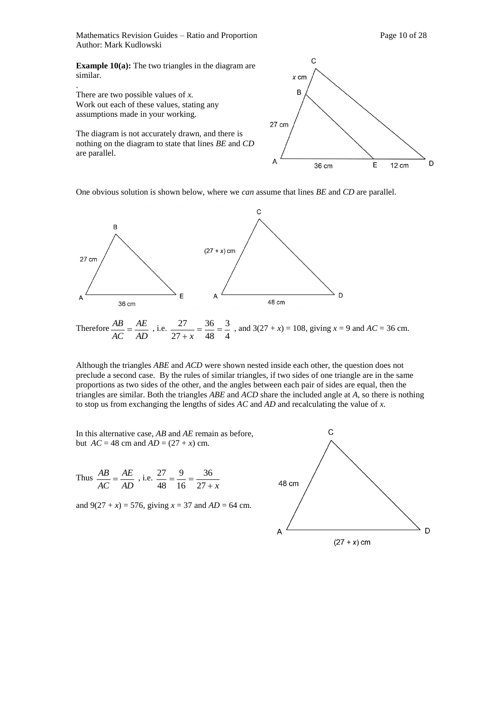Mathematics Revision Guides – Ratio and Proportion Page 10 of 28 Author: Mark Kudlowski

**Example 10(a):** The two triangles in the diagram are similar.

There are two possible values of *x.* Work out each of these values, stating any assumptions made in your working.

.

The diagram is not accurately drawn, and there is nothing on the diagram to state that lines *BE* and *CD*  are parallel.



One obvious solution is shown below, where we *can* assume that lines *BE* and *CD* are parallel.



Although the triangles *ABE* and *ACD* were shown nested inside each other, the question does not preclude a second case. By the rules of similar triangles, if two sides of one triangle are in the same proportions as two sides of the other, and the angles between each pair of sides are equal, then the triangles are similar. Both the triangles *ABE* and *ACD* share the included angle at *A*, so there is nothing to stop us from exchanging the lengths of sides *AC* and *AD* and recalculating the value of *x.* 

In this alternative case, *AB* and *AE* remain as before, but  $AC = 48$  cm and  $AD = (27 + x)$  cm.

Thus 
$$
\frac{AB}{AC} = \frac{AE}{AD}
$$
, i.e.  $\frac{27}{48} = \frac{9}{16} = \frac{36}{27 + x}$ 

and  $9(27 + x) = 576$ , giving  $x = 37$  and  $AD = 64$  cm.

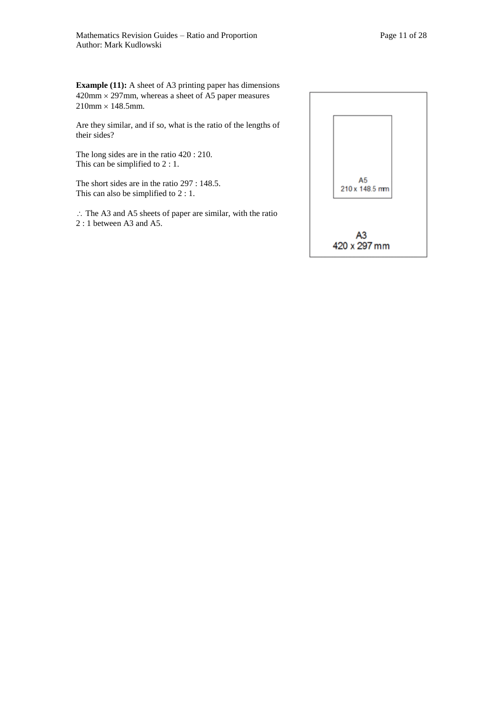**Example (11):** A sheet of A3 printing paper has dimensions  $420$ mm  $\times$  297mm, whereas a sheet of A5 paper measures  $210$ mm  $\times$  148.5mm.

Are they similar, and if so, what is the ratio of the lengths of their sides?

The long sides are in the ratio 420 : 210. This can be simplified to 2 : 1.

The short sides are in the ratio 297 : 148.5. This can also be simplified to 2 : 1.

 $\therefore$  The A3 and A5 sheets of paper are similar, with the ratio 2 : 1 between A3 and A5.

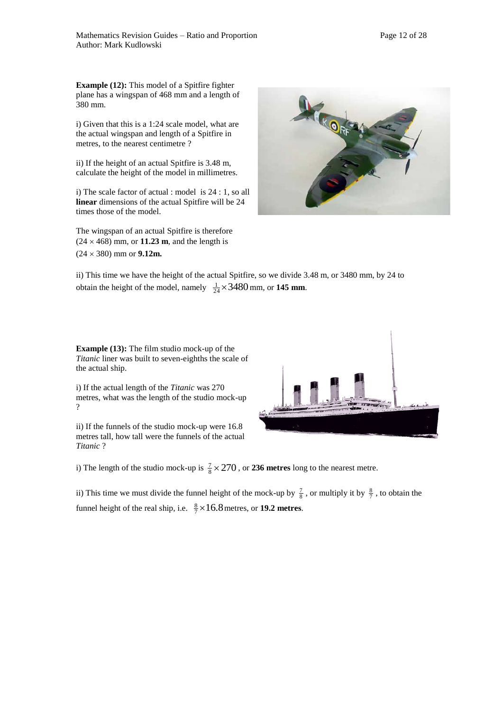**Example (12):** This model of a Spitfire fighter plane has a wingspan of 468 mm and a length of 380 mm.

i) Given that this is a 1:24 scale model, what are the actual wingspan and length of a Spitfire in metres, to the nearest centimetre ?

ii) If the height of an actual Spitfire is 3.48 m, calculate the height of the model in millimetres.

i) The scale factor of actual : model is 24 : 1, so all **linear** dimensions of the actual Spitfire will be 24 times those of the model.

The wingspan of an actual Spitfire is therefore  $(24 \times 468)$  mm, or **11.23 m**, and the length is  $(24 \times 380)$  mm or **9.12m.** 



ii) This time we have the height of the actual Spitfire, so we divide 3.48 m, or 3480 mm, by 24 to obtain the height of the model, namely  $\frac{1}{24} \times 3480$  mm, or **145 mm**.

**Example (13):** The film studio mock-up of the *Titanic* liner was built to seven-eighths the scale of the actual ship.

i) If the actual length of the *Titanic* was 270 metres, what was the length of the studio mock-up ?

ii) If the funnels of the studio mock-up were 16.8 metres tall, how tall were the funnels of the actual *Titanic* ?



i) The length of the studio mock-up is  $\frac{7}{8} \times 270$ , or **236 metres** long to the nearest metre.

ii) This time we must divide the funnel height of the mock-up by  $\frac{7}{8}$ , or multiply it by  $\frac{8}{7}$ , to obtain the funnel height of the real ship, i.e.  $\frac{8}{7} \times 16.8$  metres, or **19.2 metres**.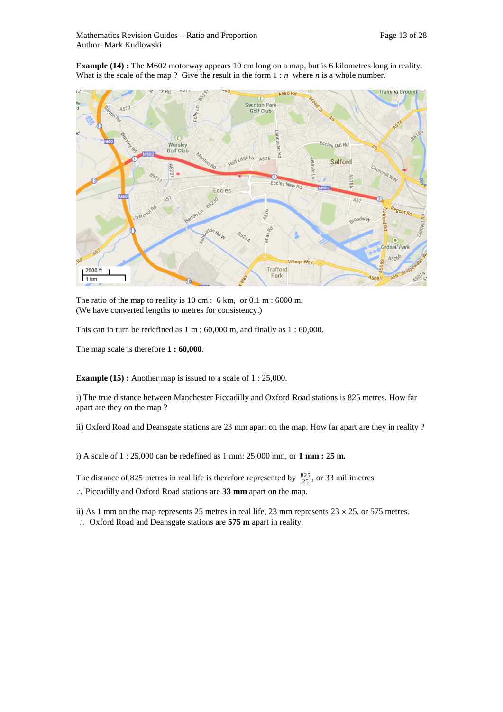**Example (14) :** The M602 motorway appears 10 cm long on a map, but is 6 kilometres long in reality. What is the scale of the map ? Give the result in the form  $1 : n$  where *n* is a whole number.



The ratio of the map to reality is 10 cm : 6 km, or 0.1 m : 6000 m. (We have converted lengths to metres for consistency.)

This can in turn be redefined as 1 m : 60,000 m, and finally as 1 : 60,000.

The map scale is therefore **1 : 60,000**.

**Example (15) :** Another map is issued to a scale of 1 : 25,000.

i) The true distance between Manchester Piccadilly and Oxford Road stations is 825 metres. How far apart are they on the map ?

ii) Oxford Road and Deansgate stations are 23 mm apart on the map. How far apart are they in reality ?

i) A scale of 1 : 25,000 can be redefined as 1 mm: 25,000 mm, or **1 mm : 25 m.**

The distance of 825 metres in real life is therefore represented by  $\frac{825}{25}$ , or 33 millimetres.

Piccadilly and Oxford Road stations are **33 mm** apart on the map.

ii) As 1 mm on the map represents 25 metres in real life, 23 mm represents  $23 \times 25$ , or 575 metres.

Oxford Road and Deansgate stations are **575 m** apart in reality.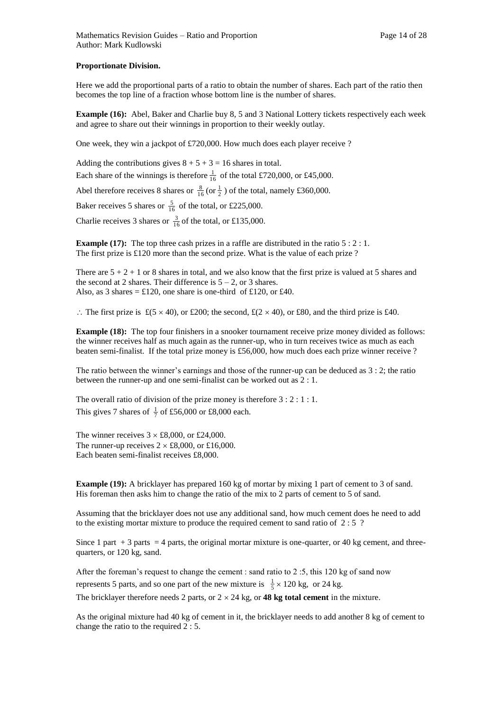### **Proportionate Division.**

Here we add the proportional parts of a ratio to obtain the number of shares. Each part of the ratio then becomes the top line of a fraction whose bottom line is the number of shares.

**Example (16):** Abel, Baker and Charlie buy 8, 5 and 3 National Lottery tickets respectively each week and agree to share out their winnings in proportion to their weekly outlay.

One week, they win a jackpot of £720,000. How much does each player receive ?

Adding the contributions gives  $8 + 5 + 3 = 16$  shares in total.

Each share of the winnings is therefore  $\frac{1}{16}$  of the total £720,000, or £45,000.

Abel therefore receives 8 shares or  $\frac{8}{16}$  (or  $\frac{1}{2}$ ) of the total, namely £360,000.

Baker receives 5 shares or  $\frac{5}{16}$  of the total, or £225,000.

Charlie receives 3 shares or  $\frac{3}{16}$  of the total, or £135,000.

**Example (17):** The top three cash prizes in a raffle are distributed in the ratio  $5:2:1$ . The first prize is £120 more than the second prize. What is the value of each prize ?

There are  $5 + 2 + 1$  or 8 shares in total, and we also know that the first prize is valued at 5 shares and the second at 2 shares. Their difference is  $5 - 2$ , or 3 shares. Also, as 3 shares =  $\text{\pounds}120$ , one share is one-third of £120, or £40.

 $\therefore$  The first prize is £(5 × 40), or £200; the second, £(2 × 40), or £80, and the third prize is £40.

**Example (18):** The top four finishers in a snooker tournament receive prize money divided as follows: the winner receives half as much again as the runner-up, who in turn receives twice as much as each beaten semi-finalist. If the total prize money is £56,000, how much does each prize winner receive ?

The ratio between the winner's earnings and those of the runner-up can be deduced as 3 : 2; the ratio between the runner-up and one semi-finalist can be worked out as 2 : 1.

The overall ratio of division of the prize money is therefore 3 : 2 : 1 : 1. This gives 7 shares of  $\frac{1}{7}$  of £56,000 or £8,000 each.

The winner receives  $3 \times £8,000$ , or £24,000. The runner-up receives  $2 \times £8,000$ , or £16,000. Each beaten semi-finalist receives £8,000.

**Example (19):** A bricklayer has prepared 160 kg of mortar by mixing 1 part of cement to 3 of sand. His foreman then asks him to change the ratio of the mix to 2 parts of cement to 5 of sand.

Assuming that the bricklayer does not use any additional sand, how much cement does he need to add to the existing mortar mixture to produce the required cement to sand ratio of 2 : 5 ?

Since 1 part  $+3$  parts = 4 parts, the original mortar mixture is one-quarter, or 40 kg cement, and threequarters, or 120 kg, sand.

After the foreman's request to change the cement : sand ratio to 2 :5, this 120 kg of sand now represents 5 parts, and so one part of the new mixture is  $\frac{1}{5} \times 120$  kg, or 24 kg.

The bricklayer therefore needs 2 parts, or  $2 \times 24$  kg, or **48 kg total cement** in the mixture.

As the original mixture had 40 kg of cement in it, the bricklayer needs to add another 8 kg of cement to change the ratio to the required 2 : 5.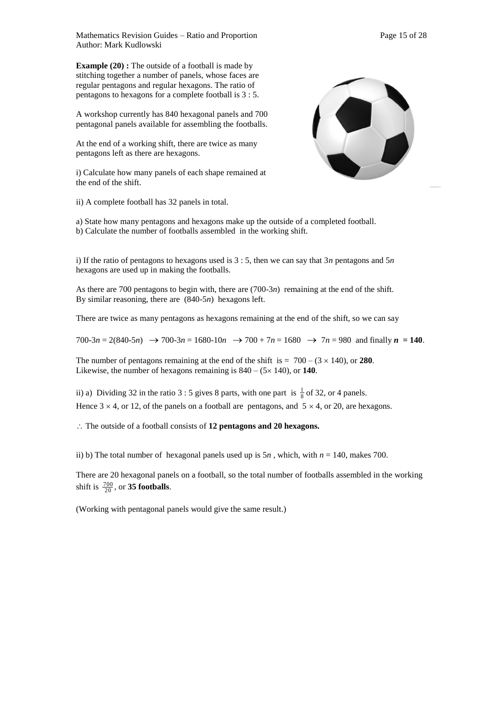Mathematics Revision Guides – Ratio and Proportion Page 15 of 28 Author: Mark Kudlowski

**Example (20) :** The outside of a football is made by stitching together a number of panels, whose faces are regular pentagons and regular hexagons. The ratio of pentagons to hexagons for a complete football is 3 : 5.

A workshop currently has 840 hexagonal panels and 700 pentagonal panels available for assembling the footballs.

At the end of a working shift, there are twice as many pentagons left as there are hexagons.

i) Calculate how many panels of each shape remained at the end of the shift.

ii) A complete football has 32 panels in total.



a) State how many pentagons and hexagons make up the outside of a completed football. b) Calculate the number of footballs assembled in the working shift.

i) If the ratio of pentagons to hexagons used is 3 : 5, then we can say that 3*n* pentagons and 5*n*  hexagons are used up in making the footballs.

As there are 700 pentagons to begin with, there are (700-3*n*) remaining at the end of the shift. By similar reasoning, there are (840-5*n*) hexagons left.

There are twice as many pentagons as hexagons remaining at the end of the shift, so we can say

 $700-3n = 2(840-5n)$   $\rightarrow$   $700-3n = 1680-10n$   $\rightarrow$   $700 + 7n = 1680$   $\rightarrow$   $7n = 980$  and finally  $n = 140$ .

The number of pentagons remaining at the end of the shift is  $= 700 - (3 \times 140)$ , or **280**. Likewise, the number of hexagons remaining is  $840 - (5 \times 140)$ , or **140**.

ii) a) Dividing 32 in the ratio 3 : 5 gives 8 parts, with one part is  $\frac{1}{8}$  of 32, or 4 panels. Hence  $3 \times 4$ , or 12, of the panels on a football are pentagons, and  $5 \times 4$ , or 20, are hexagons.

: The outside of a football consists of 12 pentagons and 20 hexagons.

ii) b) The total number of hexagonal panels used up is  $5n$ , which, with  $n = 140$ , makes 700.

There are 20 hexagonal panels on a football, so the total number of footballs assembled in the working shift is  $\frac{700}{20}$ , or **35 footballs**.

(Working with pentagonal panels would give the same result.)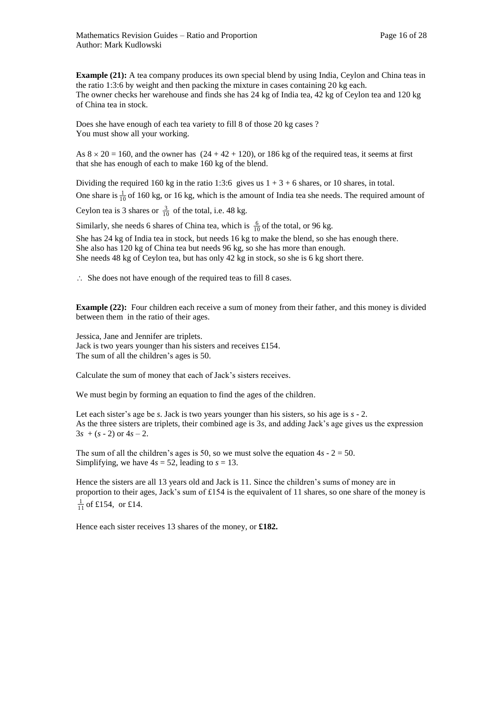**Example (21):** A tea company produces its own special blend by using India, Ceylon and China teas in the ratio 1:3:6 by weight and then packing the mixture in cases containing 20 kg each. The owner checks her warehouse and finds she has 24 kg of India tea, 42 kg of Ceylon tea and 120 kg of China tea in stock.

Does she have enough of each tea variety to fill 8 of those 20 kg cases ? You must show all your working.

As  $8 \times 20 = 160$ , and the owner has  $(24 + 42 + 120)$ , or 186 kg of the required teas, it seems at first that she has enough of each to make 160 kg of the blend.

Dividing the required 160 kg in the ratio 1:3:6 gives us  $1 + 3 + 6$  shares, or 10 shares, in total. One share is  $\frac{1}{10}$  of 160 kg, or 16 kg, which is the amount of India tea she needs. The required amount of

Ceylon tea is 3 shares or  $\frac{3}{10}$  of the total, i.e. 48 kg.

Similarly, she needs 6 shares of China tea, which is  $\frac{6}{10}$  of the total, or 96 kg. She has 24 kg of India tea in stock, but needs 16 kg to make the blend, so she has enough there. She also has 120 kg of China tea but needs 96 kg, so she has more than enough. She needs 48 kg of Ceylon tea, but has only 42 kg in stock, so she is 6 kg short there.

 $\therefore$  She does not have enough of the required teas to fill 8 cases.

**Example (22):** Four children each receive a sum of money from their father, and this money is divided between them in the ratio of their ages.

Jessica, Jane and Jennifer are triplets. Jack is two years younger than his sisters and receives £154. The sum of all the children's ages is 50.

Calculate the sum of money that each of Jack's sisters receives.

We must begin by forming an equation to find the ages of the children.

Let each sister's age be *s*. Jack is two years younger than his sisters, so his age is *s* - 2. As the three sisters are triplets, their combined age is 3*s*, and adding Jack's age gives us the expression  $3s + (s - 2)$  or  $4s - 2$ .

The sum of all the children's ages is 50, so we must solve the equation  $4s - 2 = 50$ . Simplifying, we have  $4s = 52$ , leading to  $s = 13$ .

Hence the sisters are all 13 years old and Jack is 11. Since the children's sums of money are in proportion to their ages, Jack's sum of £154 is the equivalent of 11 shares, so one share of the money is  $\frac{1}{11}$  of £154, or £14.

Hence each sister receives 13 shares of the money, or **£182.**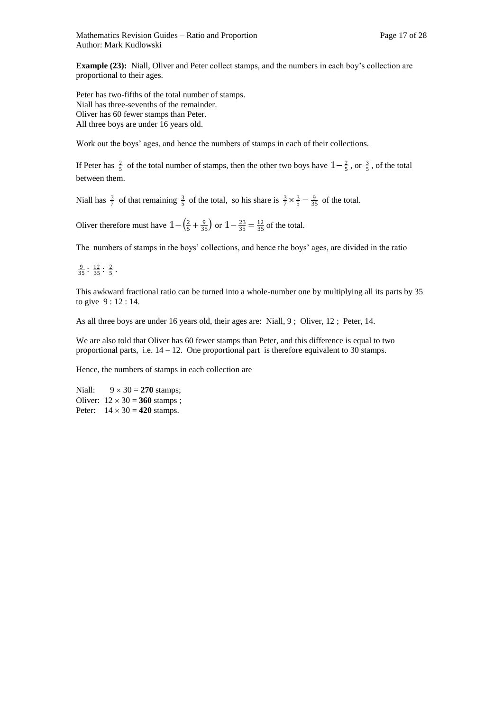**Example (23):** Niall, Oliver and Peter collect stamps, and the numbers in each boy's collection are proportional to their ages.

Peter has two-fifths of the total number of stamps. Niall has three-sevenths of the remainder. Oliver has 60 fewer stamps than Peter. All three boys are under 16 years old.

Work out the boys' ages, and hence the numbers of stamps in each of their collections.

If Peter has  $\frac{2}{5}$  of the total number of stamps, then the other two boys have  $1-\frac{2}{5}$ , or  $\frac{3}{5}$ , of the total between them.

Niall has  $\frac{3}{7}$  of that remaining  $\frac{3}{5}$  of the total, so his share is  $\frac{3}{7} \times \frac{3}{5} = \frac{9}{35}$  of the total.

Oliver therefore must have  $1 - \left(\frac{2}{5} + \frac{9}{35}\right)$  or  $1 - \frac{23}{35} = \frac{12}{35}$  of the total.

The numbers of stamps in the boys' collections, and hence the boys' ages, are divided in the ratio

 $\frac{9}{35}$ :  $\frac{12}{35}$ :  $\frac{2}{5}$ .

This awkward fractional ratio can be turned into a whole-number one by multiplying all its parts by 35 to give 9 : 12 : 14.

As all three boys are under 16 years old, their ages are: Niall, 9 ; Oliver, 12 ; Peter, 14.

We are also told that Oliver has 60 fewer stamps than Peter, and this difference is equal to two proportional parts, i.e.  $14 - 12$ . One proportional part is therefore equivalent to 30 stamps.

Hence, the numbers of stamps in each collection are

Niall:  $9 \times 30 = 270$  stamps; Oliver:  $12 \times 30 = 360$  stamps; Peter:  $14 \times 30 = 420$  stamps.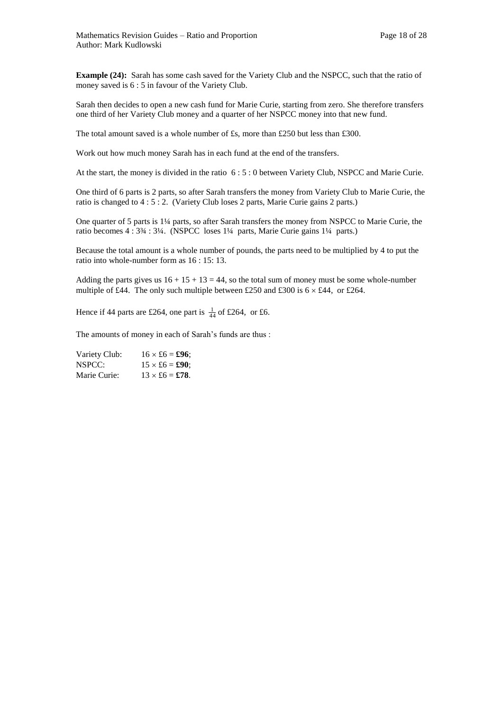**Example (24):** Sarah has some cash saved for the Variety Club and the NSPCC, such that the ratio of money saved is 6 : 5 in favour of the Variety Club.

Sarah then decides to open a new cash fund for Marie Curie, starting from zero. She therefore transfers one third of her Variety Club money and a quarter of her NSPCC money into that new fund.

The total amount saved is a whole number of £s, more than £250 but less than £300.

Work out how much money Sarah has in each fund at the end of the transfers.

At the start, the money is divided in the ratio 6 : 5 : 0 between Variety Club, NSPCC and Marie Curie.

One third of 6 parts is 2 parts, so after Sarah transfers the money from Variety Club to Marie Curie, the ratio is changed to 4 : 5 : 2. (Variety Club loses 2 parts, Marie Curie gains 2 parts.)

One quarter of 5 parts is 1¼ parts, so after Sarah transfers the money from NSPCC to Marie Curie, the ratio becomes 4 : 3¾ : 3¼. (NSPCC loses 1¼ parts, Marie Curie gains 1¼ parts.)

Because the total amount is a whole number of pounds, the parts need to be multiplied by 4 to put the ratio into whole-number form as 16 : 15: 13.

Adding the parts gives us  $16 + 15 + 13 = 44$ , so the total sum of money must be some whole-number multiple of £44. The only such multiple between £250 and £300 is  $6 \times \text{\pounds}44$ , or £264.

Hence if 44 parts are £264, one part is  $\frac{1}{44}$  of £264, or £6.

The amounts of money in each of Sarah's funds are thus :

| Variety Club: | $16 \times £6 = £96$ ; |
|---------------|------------------------|
| NSPCC:        | $15 \times £6 = £90$ ; |
| Marie Curie:  | $13 \times £6 = £78.$  |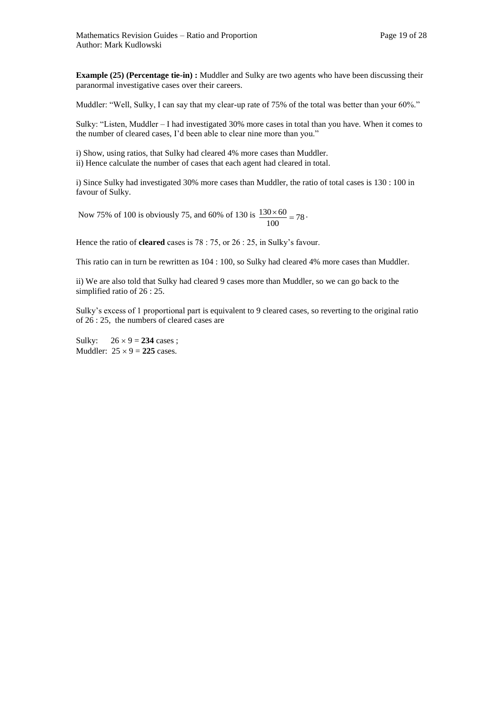**Example (25) (Percentage tie-in) :** Muddler and Sulky are two agents who have been discussing their paranormal investigative cases over their careers.

Muddler: "Well, Sulky, I can say that my clear-up rate of 75% of the total was better than your 60%."

Sulky: "Listen, Muddler – I had investigated 30% more cases in total than you have. When it comes to the number of cleared cases, I'd been able to clear nine more than you."

i) Show, using ratios, that Sulky had cleared 4% more cases than Muddler. ii) Hence calculate the number of cases that each agent had cleared in total.

i) Since Sulky had investigated 30% more cases than Muddler, the ratio of total cases is 130 : 100 in favour of Sulky.

Now 75% of 100 is obviously 75, and 60% of 130 is  $\frac{130 \times 60}{100} = 78$  $\frac{130 \times 60}{100} = 78$ .

Hence the ratio of **cleared** cases is 78 : 75, or 26 : 25, in Sulky's favour.

This ratio can in turn be rewritten as 104 : 100, so Sulky had cleared 4% more cases than Muddler.

ii) We are also told that Sulky had cleared 9 cases more than Muddler, so we can go back to the simplified ratio of 26 : 25.

Sulky's excess of 1 proportional part is equivalent to 9 cleared cases, so reverting to the original ratio of 26 : 25, the numbers of cleared cases are

Sulky:  $26 \times 9 = 234$  cases; Muddler:  $25 \times 9 = 225$  cases.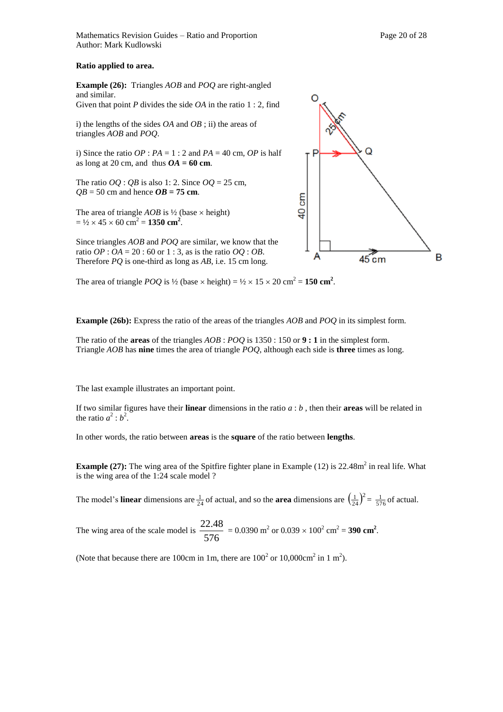Mathematics Revision Guides – Ratio and Proportion Page 20 of 28 Author: Mark Kudlowski

### **Ratio applied to area.**

**Example (26):** Triangles *AOB* and *POQ* are right-angled and similar. Given that point *P* divides the side *OA* in the ratio 1 : 2, find

i) the lengths of the sides *OA* and *OB* ; ii) the areas of triangles *AOB* and *POQ*.

i) Since the ratio  $OP$  :  $PA = 1$  : 2 and  $PA = 40$  cm,  $OP$  is half as long at 20 cm, and thus  $OA = 60$  cm.

The ratio  $OO$  :  $OB$  is also 1: 2. Since  $OO = 25$  cm,  $QB = 50$  cm and hence  $OB = 75$  cm.

The area of triangle  $AOB$  is  $\frac{1}{2}$  (base  $\times$  height)  $=$   $\frac{1}{2} \times 45 \times 60$  cm<sup>2</sup> = 1350 cm<sup>2</sup>.

Since triangles *AOB* and *POQ* are similar, we know that the ratio  $OP : OA = 20 : 60$  or  $1 : 3$ , as is the ratio  $OQ : OB$ . Therefore *PQ* is one-third as long as *AB*, i.e. 15 cm long.

The area of triangle *POQ* is  $\frac{1}{2}$  (base  $\times$  height) =  $\frac{1}{2} \times 15 \times 20$  cm<sup>2</sup> = **150 cm<sup>2</sup>**.

**Example (26b):** Express the ratio of the areas of the triangles *AOB* and *POQ* in its simplest form.

The ratio of the **areas** of the triangles *AOB* : *POQ* is 1350 : 150 or **9 : 1** in the simplest form. Triangle *AOB* has **nine** times the area of triangle *POQ*, although each side is **three** times as long.

The last example illustrates an important point.

If two similar figures have their **linear** dimensions in the ratio *a* : *b* , then their **areas** will be related in the ratio  $a^2 : b^2$ .

In other words, the ratio between **areas** is the **square** of the ratio between **lengths**.

**Example (27):** The wing area of the Spitfire fighter plane in Example (12) is 22.48m<sup>2</sup> in real life. What is the wing area of the 1:24 scale model ?

The model's **linear** dimensions are  $\frac{1}{24}$  of actual, and so the **area** dimensions are  $\left(\frac{1}{24}\right)^2$  $(\frac{1}{24})^2 = \frac{1}{576}$  of actual.

The wing area of the scale model is  $\frac{2211}{576}$  $\frac{22.48}{25.6}$  = 0.0390 m<sup>2</sup> or 0.039 × 100<sup>2</sup> cm<sup>2</sup> = **390 cm<sup>2</sup>**.

(Note that because there are 100cm in 1m, there are  $100^2$  or  $10,000 \text{cm}^2$  in 1 m<sup>2</sup>).

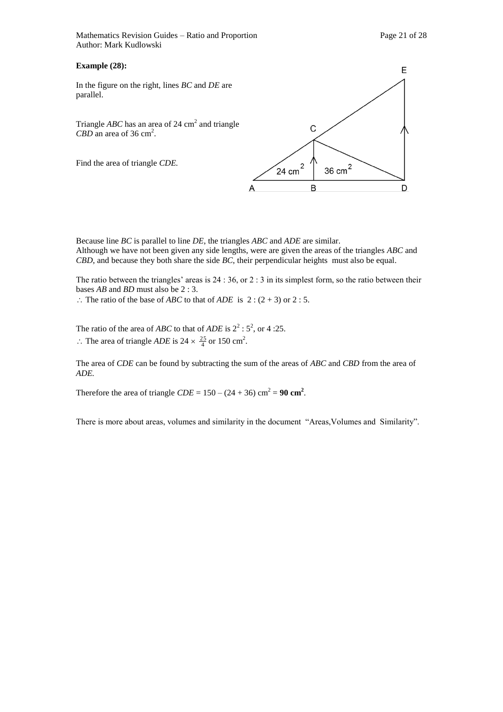Mathematics Revision Guides – Ratio and Proportion Page 21 of 28 Author: Mark Kudlowski

### **Example (28):**

In the figure on the right, lines *BC* and *DE* are parallel.

Triangle  $ABC$  has an area of 24 cm<sup>2</sup> and triangle CBD an area of 36 cm<sup>2</sup>.

Find the area of triangle *CDE.*



Because line *BC* is parallel to line *DE*, the triangles *ABC* and *ADE* are similar. Although we have not been given any side lengths, were are given the areas of the triangles *ABC* and *CBD*, and because they both share the side *BC*, their perpendicular heights must also be equal.

The ratio between the triangles' areas is 24 : 36, or 2 : 3 in its simplest form, so the ratio between their bases *AB* and *BD* must also be 2 : 3.

 $\therefore$  The ratio of the base of *ABC* to that of *ADE* is 2 : (2+3) or 2 : 5.

The ratio of the area of *ABC* to that of *ADE* is  $2^2 : 5^2$ , or 4 :25.  $\therefore$  The area of triangle *ADE* is 24  $\times \frac{25}{4}$  or 150 cm<sup>2</sup>.

The area of *CDE* can be found by subtracting the sum of the areas of *ABC* and *CBD* from the area of *ADE.* 

Therefore the area of triangle  $CDE = 150 - (24 + 36)$  cm<sup>2</sup> = 90 cm<sup>2</sup>.

There is more about areas, volumes and similarity in the document "Areas,Volumes and Similarity".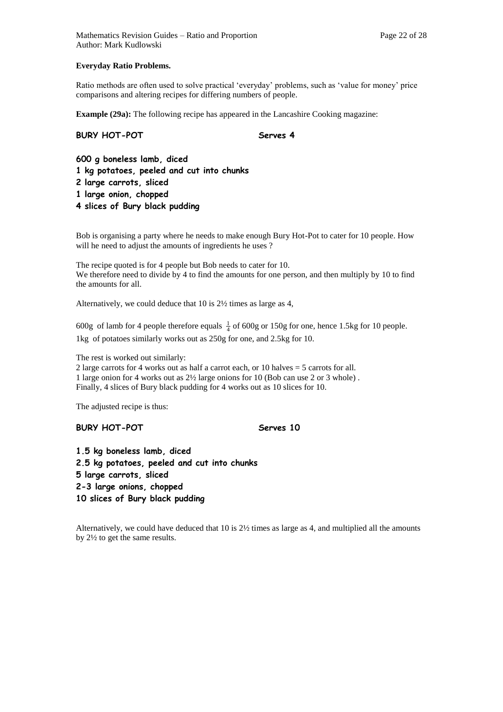### **Everyday Ratio Problems.**

Ratio methods are often used to solve practical 'everyday' problems, such as 'value for money' price comparisons and altering recipes for differing numbers of people.

**Example (29a):** The following recipe has appeared in the Lancashire Cooking magazine:

### **BURY HOT-POT** Serves 4

**600 g boneless lamb, diced 1 kg potatoes, peeled and cut into chunks 2 large carrots, sliced 1 large onion, chopped 4 slices of Bury black pudding**

Bob is organising a party where he needs to make enough Bury Hot-Pot to cater for 10 people. How will he need to adjust the amounts of ingredients he uses ?

The recipe quoted is for 4 people but Bob needs to cater for 10. We therefore need to divide by 4 to find the amounts for one person, and then multiply by 10 to find the amounts for all.

Alternatively, we could deduce that 10 is 2½ times as large as 4,

600g of lamb for 4 people therefore equals  $\frac{1}{4}$  of 600g or 150g for one, hence 1.5kg for 10 people. 1kg of potatoes similarly works out as 250g for one, and 2.5kg for 10.

The rest is worked out similarly:

2 large carrots for 4 works out as half a carrot each, or 10 halves = 5 carrots for all. 1 large onion for 4 works out as 2½ large onions for 10 (Bob can use 2 or 3 whole) . Finally, 4 slices of Bury black pudding for 4 works out as 10 slices for 10.

The adjusted recipe is thus:

### **BURY HOT-POT** Serves 10

**1.5 kg boneless lamb, diced 2.5 kg potatoes, peeled and cut into chunks 5 large carrots, sliced 2-3 large onions, chopped 10 slices of Bury black pudding**

Alternatively, we could have deduced that 10 is 2½ times as large as 4, and multiplied all the amounts by 2½ to get the same results.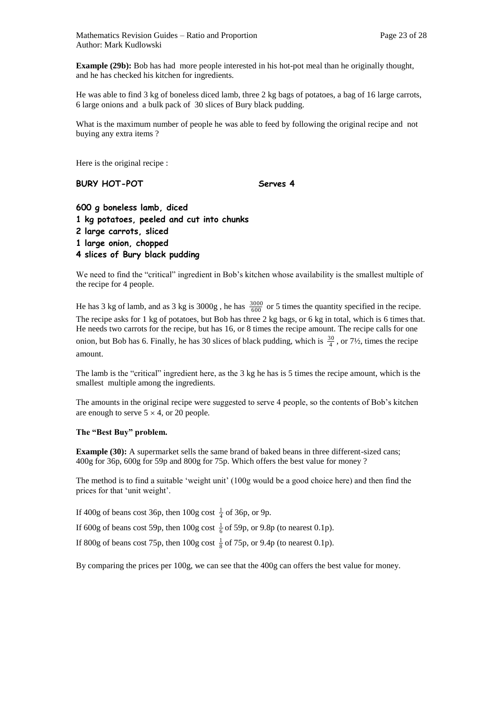Mathematics Revision Guides – Ratio and Proportion Page 23 of 28 Author: Mark Kudlowski

**Example (29b):** Bob has had more people interested in his hot-pot meal than he originally thought, and he has checked his kitchen for ingredients.

He was able to find 3 kg of boneless diced lamb, three 2 kg bags of potatoes, a bag of 16 large carrots, 6 large onions and a bulk pack of 30 slices of Bury black pudding.

What is the maximum number of people he was able to feed by following the original recipe and not buying any extra items ?

Here is the original recipe :

### BURY HOT-POT Serves 4

| 600 g boneless lamb, diced                |
|-------------------------------------------|
| 1 kg potatoes, peeled and cut into chunks |
| 2 large carrots, sliced                   |
| 1 large onion, chopped                    |
| 4 slices of Bury black pudding            |

We need to find the "critical" ingredient in Bob's kitchen whose availability is the smallest multiple of the recipe for 4 people.

He has 3 kg of lamb, and as 3 kg is  $3000g$ , he has  $\frac{3000}{600}$  or 5 times the quantity specified in the recipe. The recipe asks for 1 kg of potatoes, but Bob has three 2 kg bags, or 6 kg in total, which is 6 times that. He needs two carrots for the recipe, but has 16, or 8 times the recipe amount. The recipe calls for one onion, but Bob has 6. Finally, he has 30 slices of black pudding, which is  $\frac{30}{4}$ , or 7½, times the recipe amount.

The lamb is the "critical" ingredient here, as the 3 kg he has is 5 times the recipe amount, which is the smallest multiple among the ingredients.

The amounts in the original recipe were suggested to serve 4 people, so the contents of Bob's kitchen are enough to serve  $5 \times 4$ , or 20 people.

### **The "Best Buy" problem.**

**Example (30):** A supermarket sells the same brand of baked beans in three different-sized cans; 400g for 36p, 600g for 59p and 800g for 75p. Which offers the best value for money ?

The method is to find a suitable 'weight unit' (100g would be a good choice here) and then find the prices for that 'unit weight'.

If 400g of beans cost 36p, then  $100g \cos t \frac{1}{4}$  of 36p, or 9p.

If 600g of beans cost 59p, then 100g cost  $\frac{1}{6}$  of 59p, or 9.8p (to nearest 0.1p).

If 800g of beans cost 75p, then 100g cost  $\frac{1}{8}$  of 75p, or 9.4p (to nearest 0.1p).

By comparing the prices per 100g, we can see that the 400g can offers the best value for money.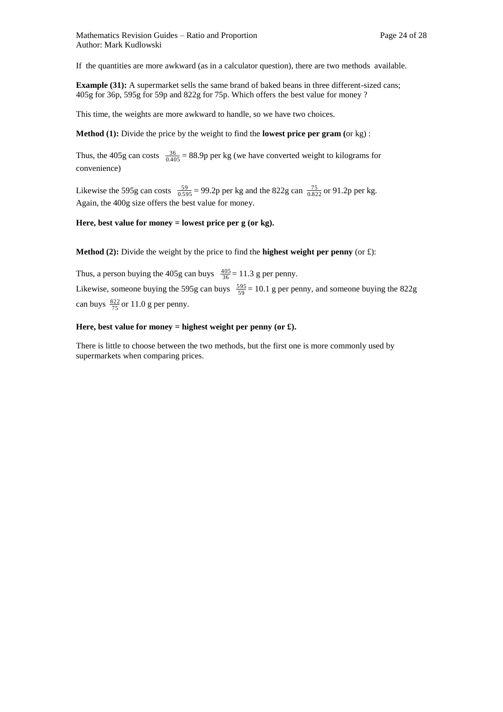If the quantities are more awkward (as in a calculator question), there are two methods available.

**Example (31):** A supermarket sells the same brand of baked beans in three different-sized cans; 405g for 36p, 595g for 59p and 822g for 75p. Which offers the best value for money ?

This time, the weights are more awkward to handle, so we have two choices.

**Method (1):** Divide the price by the weight to find the **lowest price per gram (**or kg) :

Thus, the 405g can costs  $\frac{36}{0.405}$  = 88.9p per kg (we have converted weight to kilograms for convenience)

Likewise the 595g can costs  $\frac{59}{0.595} = 99.2p$  per kg and the 822g can  $\frac{75}{0.822}$  or 91.2p per kg. Again, the 400g size offers the best value for money.

**Here, best value for money = lowest price per g (or kg).** 

**Method (2):** Divide the weight by the price to find the **highest weight per penny** (or  $\pounds$ ):

Thus, a person buying the 405g can buys  $\frac{405}{36} = 11.3$  g per penny. Likewise, someone buying the 595g can buys  $\frac{595}{59} = 10.1$  g per penny, and someone buying the 822g can buys  $\frac{822}{75}$  or 11.0 g per penny.

### **Here, best value for money = highest weight per penny (or £).**

There is little to choose between the two methods, but the first one is more commonly used by supermarkets when comparing prices.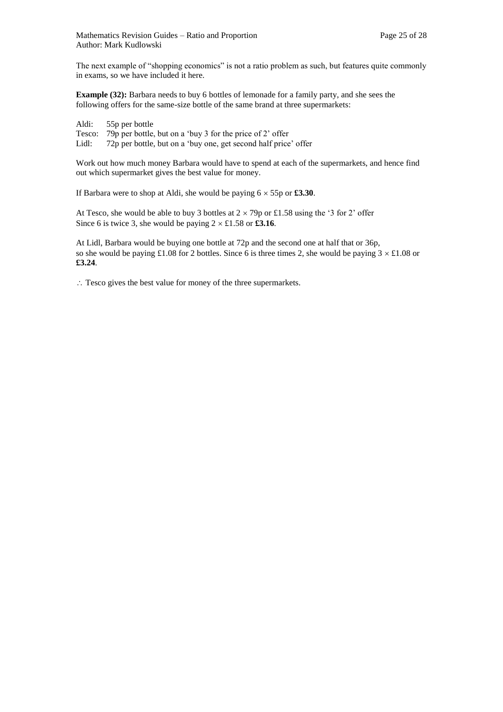The next example of "shopping economics" is not a ratio problem as such, but features quite commonly in exams, so we have included it here.

**Example (32):** Barbara needs to buy 6 bottles of lemonade for a family party, and she sees the following offers for the same-size bottle of the same brand at three supermarkets:

| Aldi: | 55p per bottle                                                   |
|-------|------------------------------------------------------------------|
|       | Tesco: 79p per bottle, but on a 'buy 3 for the price of 2' offer |
| Lidl: | 72p per bottle, but on a 'buy one, get second half price' offer  |

Work out how much money Barbara would have to spend at each of the supermarkets, and hence find out which supermarket gives the best value for money.

If Barbara were to shop at Aldi, she would be paying  $6 \times 55p$  or **£3.30**.

At Tesco, she would be able to buy 3 bottles at  $2 \times 79p$  or £1.58 using the '3 for 2' offer Since 6 is twice 3, she would be paying  $2 \times £1.58$  or £3.16.

At Lidl, Barbara would be buying one bottle at 72p and the second one at half that or 36p, so she would be paying £1.08 for 2 bottles. Since 6 is three times 2, she would be paying  $3 \times \text{\pounds}1.08$  or **£3.24**.

: Tesco gives the best value for money of the three supermarkets.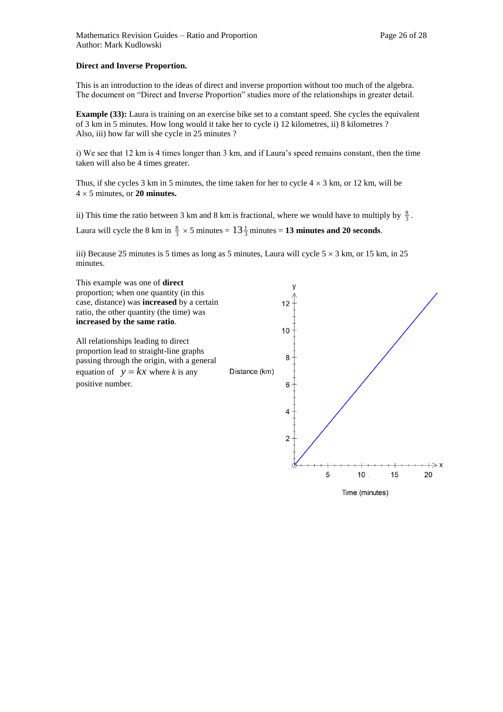This is an introduction to the ideas of direct and inverse proportion without too much of the algebra. The document on "Direct and Inverse Proportion" studies more of the relationships in greater detail.

**Example (33):** Laura is training on an exercise bike set to a constant speed. She cycles the equivalent of 3 km in 5 minutes. How long would it take her to cycle i) 12 kilometres, ii) 8 kilometres ? Also, iii) how far will she cycle in 25 minutes ?

i) We see that 12 km is 4 times longer than 3 km, and if Laura's speed remains constant, then the time taken will also be 4 times greater.

Thus, if she cycles 3 km in 5 minutes, the time taken for her to cycle  $4 \times 3$  km, or 12 km, will be  $4 \times 5$  minutes, or **20 minutes.** 

ii) This time the ratio between 3 km and 8 km is fractional, where we would have to multiply by  $\frac{8}{3}$ .

Laura will cycle the 8 km in  $\frac{8}{3} \times 5$  minutes =  $13\frac{1}{3}$  minutes = 13 minutes and 20 seconds.

iii) Because 25 minutes is 5 times as long as 5 minutes, Laura will cycle  $5 \times 3$  km, or 15 km, in 25 minutes.



Time (minutes)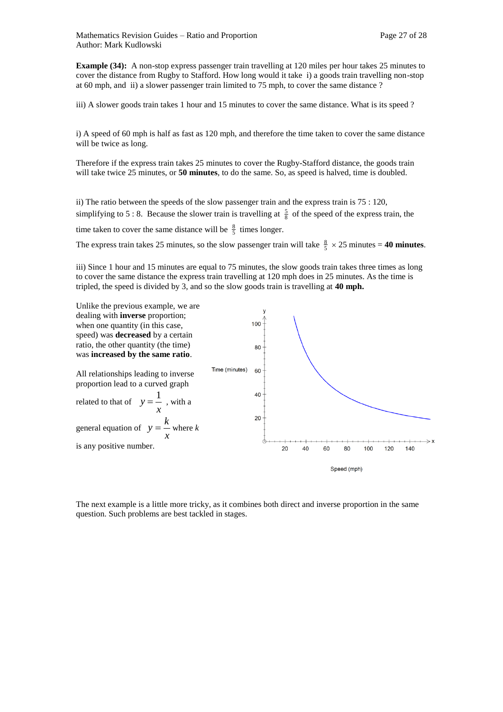**Example (34):** A non-stop express passenger train travelling at 120 miles per hour takes 25 minutes to cover the distance from Rugby to Stafford. How long would it take i) a goods train travelling non-stop at 60 mph, and ii) a slower passenger train limited to 75 mph, to cover the same distance ?

iii) A slower goods train takes 1 hour and 15 minutes to cover the same distance. What is its speed ?

i) A speed of 60 mph is half as fast as 120 mph, and therefore the time taken to cover the same distance will be twice as long.

Therefore if the express train takes 25 minutes to cover the Rugby-Stafford distance, the goods train will take twice 25 minutes, or **50 minutes**, to do the same. So, as speed is halved, time is doubled.

ii) The ratio between the speeds of the slow passenger train and the express train is 75 : 120, simplifying to 5 : 8. Because the slower train is travelling at  $\frac{5}{8}$  of the speed of the express train, the time taken to cover the same distance will be  $\frac{8}{5}$  times longer.

The express train takes 25 minutes, so the slow passenger train will take  $\frac{8}{5} \times 25$  minutes = **40 minutes**.

iii) Since 1 hour and 15 minutes are equal to 75 minutes, the slow goods train takes three times as long to cover the same distance the express train travelling at 120 mph does in 25 minutes. As the time is tripled, the speed is divided by 3, and so the slow goods train is travelling at **40 mph.**



The next example is a little more tricky, as it combines both direct and inverse proportion in the same question. Such problems are best tackled in stages.